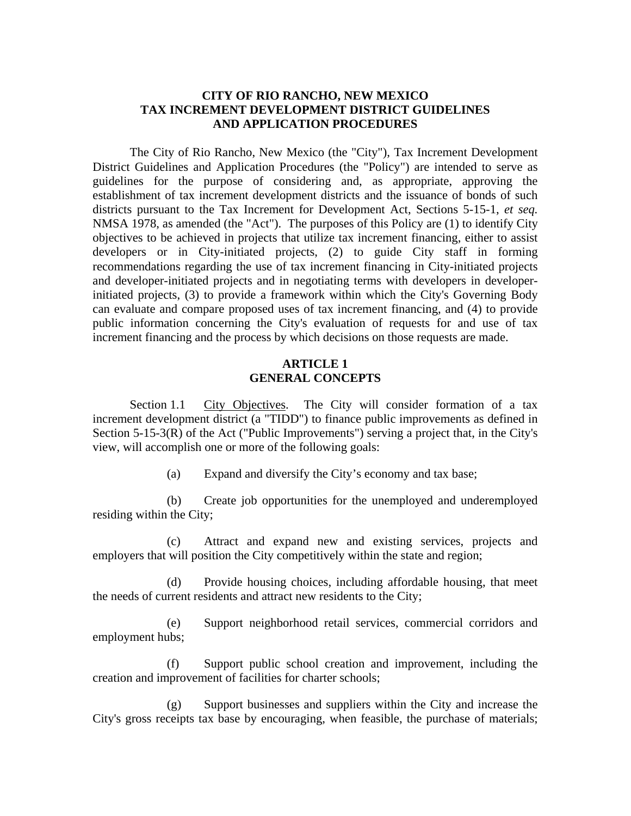# **CITY OF RIO RANCHO, NEW MEXICO TAX INCREMENT DEVELOPMENT DISTRICT GUIDELINES AND APPLICATION PROCEDURES**

The City of Rio Rancho, New Mexico (the "City"), Tax Increment Development District Guidelines and Application Procedures (the "Policy") are intended to serve as guidelines for the purpose of considering and, as appropriate, approving the establishment of tax increment development districts and the issuance of bonds of such districts pursuant to the Tax Increment for Development Act, Sections 5-15-1, *et seq.*  NMSA 1978, as amended (the "Act"). The purposes of this Policy are (1) to identify City objectives to be achieved in projects that utilize tax increment financing, either to assist developers or in City-initiated projects, (2) to guide City staff in forming recommendations regarding the use of tax increment financing in City-initiated projects and developer-initiated projects and in negotiating terms with developers in developerinitiated projects, (3) to provide a framework within which the City's Governing Body can evaluate and compare proposed uses of tax increment financing, and (4) to provide public information concerning the City's evaluation of requests for and use of tax increment financing and the process by which decisions on those requests are made.

# **ARTICLE 1 GENERAL CONCEPTS**

Section 1.1 City Objectives. The City will consider formation of a tax increment development district (a "TIDD") to finance public improvements as defined in Section 5-15-3(R) of the Act ("Public Improvements") serving a project that, in the City's view, will accomplish one or more of the following goals:

(a) Expand and diversify the City's economy and tax base;

(b) Create job opportunities for the unemployed and underemployed residing within the City;

(c) Attract and expand new and existing services, projects and employers that will position the City competitively within the state and region;

(d) Provide housing choices, including affordable housing, that meet the needs of current residents and attract new residents to the City;

(e) Support neighborhood retail services, commercial corridors and employment hubs;

(f) Support public school creation and improvement, including the creation and improvement of facilities for charter schools;

(g) Support businesses and suppliers within the City and increase the City's gross receipts tax base by encouraging, when feasible, the purchase of materials;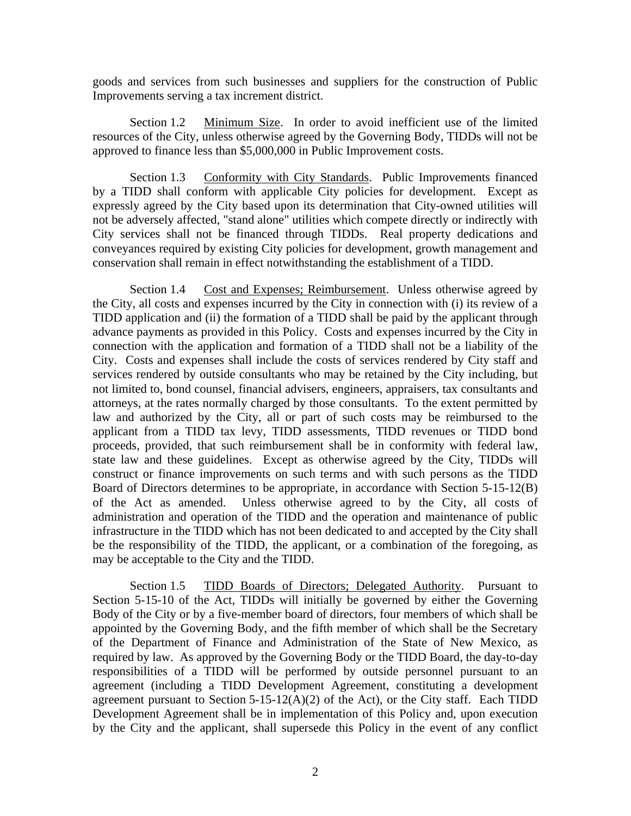goods and services from such businesses and suppliers for the construction of Public Improvements serving a tax increment district.

Section 1.2 Minimum Size. In order to avoid inefficient use of the limited resources of the City, unless otherwise agreed by the Governing Body, TIDDs will not be approved to finance less than \$5,000,000 in Public Improvement costs.

Section 1.3 Conformity with City Standards. Public Improvements financed by a TIDD shall conform with applicable City policies for development. Except as expressly agreed by the City based upon its determination that City-owned utilities will not be adversely affected, "stand alone" utilities which compete directly or indirectly with City services shall not be financed through TIDDs. Real property dedications and conveyances required by existing City policies for development, growth management and conservation shall remain in effect notwithstanding the establishment of a TIDD.

Section 1.4 Cost and Expenses; Reimbursement. Unless otherwise agreed by the City, all costs and expenses incurred by the City in connection with (i) its review of a TIDD application and (ii) the formation of a TIDD shall be paid by the applicant through advance payments as provided in this Policy. Costs and expenses incurred by the City in connection with the application and formation of a TIDD shall not be a liability of the City. Costs and expenses shall include the costs of services rendered by City staff and services rendered by outside consultants who may be retained by the City including, but not limited to, bond counsel, financial advisers, engineers, appraisers, tax consultants and attorneys, at the rates normally charged by those consultants. To the extent permitted by law and authorized by the City, all or part of such costs may be reimbursed to the applicant from a TIDD tax levy, TIDD assessments, TIDD revenues or TIDD bond proceeds, provided, that such reimbursement shall be in conformity with federal law, state law and these guidelines. Except as otherwise agreed by the City, TIDDs will construct or finance improvements on such terms and with such persons as the TIDD Board of Directors determines to be appropriate, in accordance with Section 5-15-12(B) of the Act as amended. Unless otherwise agreed to by the City, all costs of administration and operation of the TIDD and the operation and maintenance of public infrastructure in the TIDD which has not been dedicated to and accepted by the City shall be the responsibility of the TIDD, the applicant, or a combination of the foregoing, as may be acceptable to the City and the TIDD.

Section 1.5 TIDD Boards of Directors; Delegated Authority. Pursuant to Section 5-15-10 of the Act, TIDDs will initially be governed by either the Governing Body of the City or by a five-member board of directors, four members of which shall be appointed by the Governing Body, and the fifth member of which shall be the Secretary of the Department of Finance and Administration of the State of New Mexico, as required by law. As approved by the Governing Body or the TIDD Board, the day-to-day responsibilities of a TIDD will be performed by outside personnel pursuant to an agreement (including a TIDD Development Agreement, constituting a development agreement pursuant to Section  $5-15-12(A)(2)$  of the Act), or the City staff. Each TIDD Development Agreement shall be in implementation of this Policy and, upon execution by the City and the applicant, shall supersede this Policy in the event of any conflict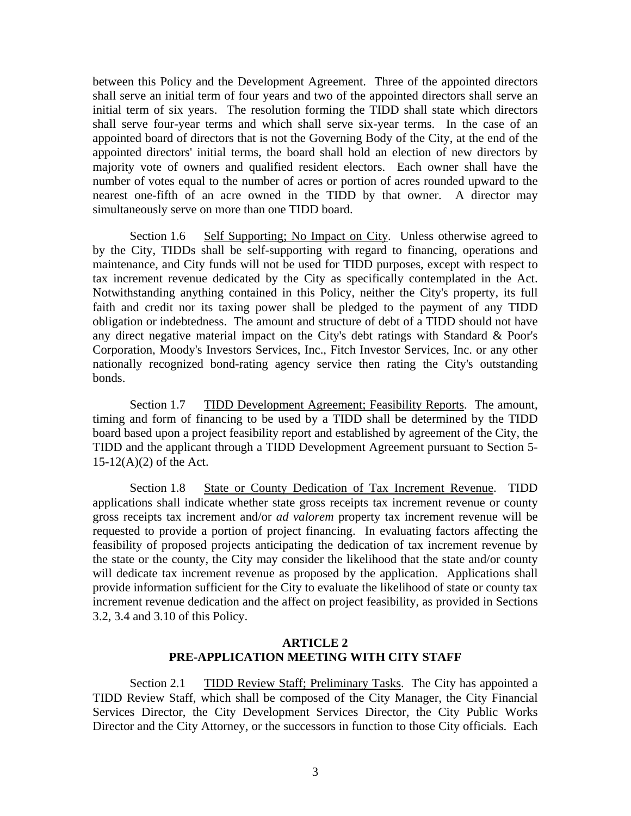between this Policy and the Development Agreement. Three of the appointed directors shall serve an initial term of four years and two of the appointed directors shall serve an initial term of six years. The resolution forming the TIDD shall state which directors shall serve four-year terms and which shall serve six-year terms. In the case of an appointed board of directors that is not the Governing Body of the City, at the end of the appointed directors' initial terms, the board shall hold an election of new directors by majority vote of owners and qualified resident electors. Each owner shall have the number of votes equal to the number of acres or portion of acres rounded upward to the nearest one-fifth of an acre owned in the TIDD by that owner. A director may simultaneously serve on more than one TIDD board.

Section 1.6 Self Supporting; No Impact on City. Unless otherwise agreed to by the City, TIDDs shall be self-supporting with regard to financing, operations and maintenance, and City funds will not be used for TIDD purposes, except with respect to tax increment revenue dedicated by the City as specifically contemplated in the Act. Notwithstanding anything contained in this Policy, neither the City's property, its full faith and credit nor its taxing power shall be pledged to the payment of any TIDD obligation or indebtedness. The amount and structure of debt of a TIDD should not have any direct negative material impact on the City's debt ratings with Standard & Poor's Corporation, Moody's Investors Services, Inc., Fitch Investor Services, Inc. or any other nationally recognized bond-rating agency service then rating the City's outstanding bonds.

Section 1.7 TIDD Development Agreement; Feasibility Reports. The amount, timing and form of financing to be used by a TIDD shall be determined by the TIDD board based upon a project feasibility report and established by agreement of the City, the TIDD and the applicant through a TIDD Development Agreement pursuant to Section 5-  $15-12(A)(2)$  of the Act.

Section 1.8 State or County Dedication of Tax Increment Revenue. TIDD applications shall indicate whether state gross receipts tax increment revenue or county gross receipts tax increment and/or *ad valorem* property tax increment revenue will be requested to provide a portion of project financing. In evaluating factors affecting the feasibility of proposed projects anticipating the dedication of tax increment revenue by the state or the county, the City may consider the likelihood that the state and/or county will dedicate tax increment revenue as proposed by the application. Applications shall provide information sufficient for the City to evaluate the likelihood of state or county tax increment revenue dedication and the affect on project feasibility, as provided in Sections 3.2, 3.4 and 3.10 of this Policy.

## **ARTICLE 2 PRE-APPLICATION MEETING WITH CITY STAFF**

Section 2.1 TIDD Review Staff; Preliminary Tasks. The City has appointed a TIDD Review Staff, which shall be composed of the City Manager, the City Financial Services Director, the City Development Services Director, the City Public Works Director and the City Attorney, or the successors in function to those City officials. Each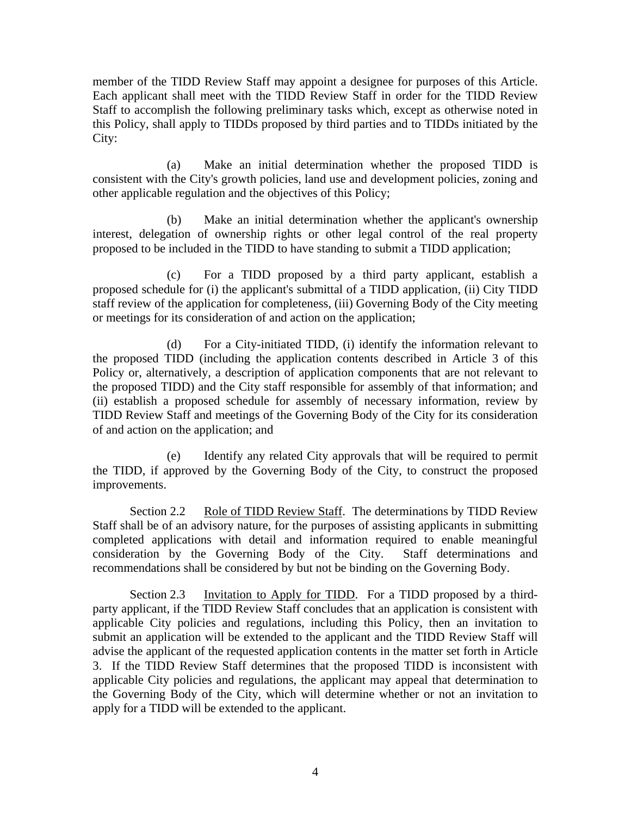member of the TIDD Review Staff may appoint a designee for purposes of this Article. Each applicant shall meet with the TIDD Review Staff in order for the TIDD Review Staff to accomplish the following preliminary tasks which, except as otherwise noted in this Policy, shall apply to TIDDs proposed by third parties and to TIDDs initiated by the City:

(a) Make an initial determination whether the proposed TIDD is consistent with the City's growth policies, land use and development policies, zoning and other applicable regulation and the objectives of this Policy;

(b) Make an initial determination whether the applicant's ownership interest, delegation of ownership rights or other legal control of the real property proposed to be included in the TIDD to have standing to submit a TIDD application;

(c) For a TIDD proposed by a third party applicant, establish a proposed schedule for (i) the applicant's submittal of a TIDD application, (ii) City TIDD staff review of the application for completeness, (iii) Governing Body of the City meeting or meetings for its consideration of and action on the application;

(d) For a City-initiated TIDD, (i) identify the information relevant to the proposed TIDD (including the application contents described in Article 3 of this Policy or, alternatively, a description of application components that are not relevant to the proposed TIDD) and the City staff responsible for assembly of that information; and (ii) establish a proposed schedule for assembly of necessary information, review by TIDD Review Staff and meetings of the Governing Body of the City for its consideration of and action on the application; and

(e) Identify any related City approvals that will be required to permit the TIDD, if approved by the Governing Body of the City, to construct the proposed improvements.

Section 2.2 Role of TIDD Review Staff. The determinations by TIDD Review Staff shall be of an advisory nature, for the purposes of assisting applicants in submitting completed applications with detail and information required to enable meaningful consideration by the Governing Body of the City. Staff determinations and recommendations shall be considered by but not be binding on the Governing Body.

Section 2.3 Invitation to Apply for TIDD. For a TIDD proposed by a thirdparty applicant, if the TIDD Review Staff concludes that an application is consistent with applicable City policies and regulations, including this Policy, then an invitation to submit an application will be extended to the applicant and the TIDD Review Staff will advise the applicant of the requested application contents in the matter set forth in Article 3. If the TIDD Review Staff determines that the proposed TIDD is inconsistent with applicable City policies and regulations, the applicant may appeal that determination to the Governing Body of the City, which will determine whether or not an invitation to apply for a TIDD will be extended to the applicant.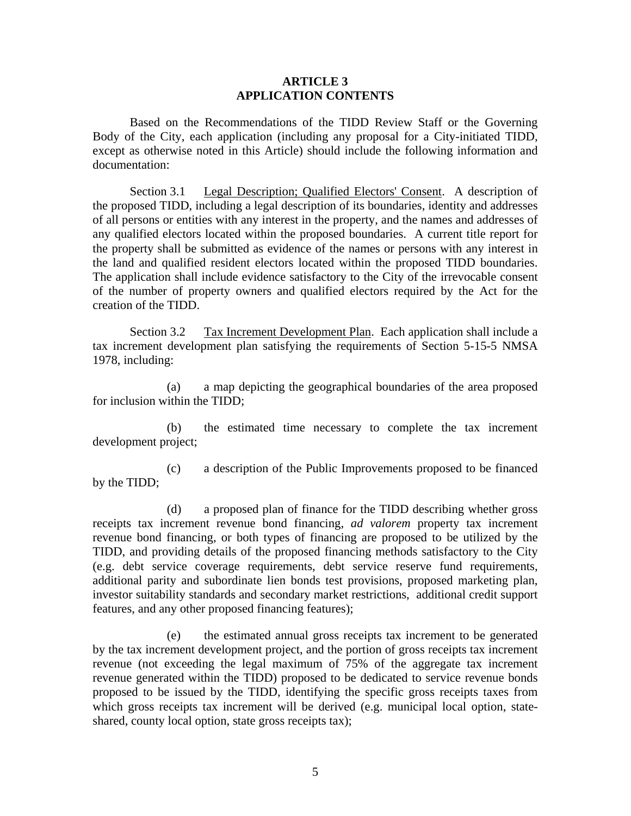### **ARTICLE 3 APPLICATION CONTENTS**

Based on the Recommendations of the TIDD Review Staff or the Governing Body of the City, each application (including any proposal for a City-initiated TIDD, except as otherwise noted in this Article) should include the following information and documentation:

Section 3.1 Legal Description; Qualified Electors' Consent. A description of the proposed TIDD, including a legal description of its boundaries, identity and addresses of all persons or entities with any interest in the property, and the names and addresses of any qualified electors located within the proposed boundaries. A current title report for the property shall be submitted as evidence of the names or persons with any interest in the land and qualified resident electors located within the proposed TIDD boundaries. The application shall include evidence satisfactory to the City of the irrevocable consent of the number of property owners and qualified electors required by the Act for the creation of the TIDD.

Section 3.2 Tax Increment Development Plan. Each application shall include a tax increment development plan satisfying the requirements of Section 5-15-5 NMSA 1978, including:

(a) a map depicting the geographical boundaries of the area proposed for inclusion within the TIDD;

(b) the estimated time necessary to complete the tax increment development project;

(c) a description of the Public Improvements proposed to be financed by the TIDD;

(d) a proposed plan of finance for the TIDD describing whether gross receipts tax increment revenue bond financing, *ad valorem* property tax increment revenue bond financing, or both types of financing are proposed to be utilized by the TIDD, and providing details of the proposed financing methods satisfactory to the City (e.g. debt service coverage requirements, debt service reserve fund requirements, additional parity and subordinate lien bonds test provisions, proposed marketing plan, investor suitability standards and secondary market restrictions, additional credit support features, and any other proposed financing features);

(e) the estimated annual gross receipts tax increment to be generated by the tax increment development project, and the portion of gross receipts tax increment revenue (not exceeding the legal maximum of 75% of the aggregate tax increment revenue generated within the TIDD) proposed to be dedicated to service revenue bonds proposed to be issued by the TIDD, identifying the specific gross receipts taxes from which gross receipts tax increment will be derived (e.g. municipal local option, stateshared, county local option, state gross receipts tax);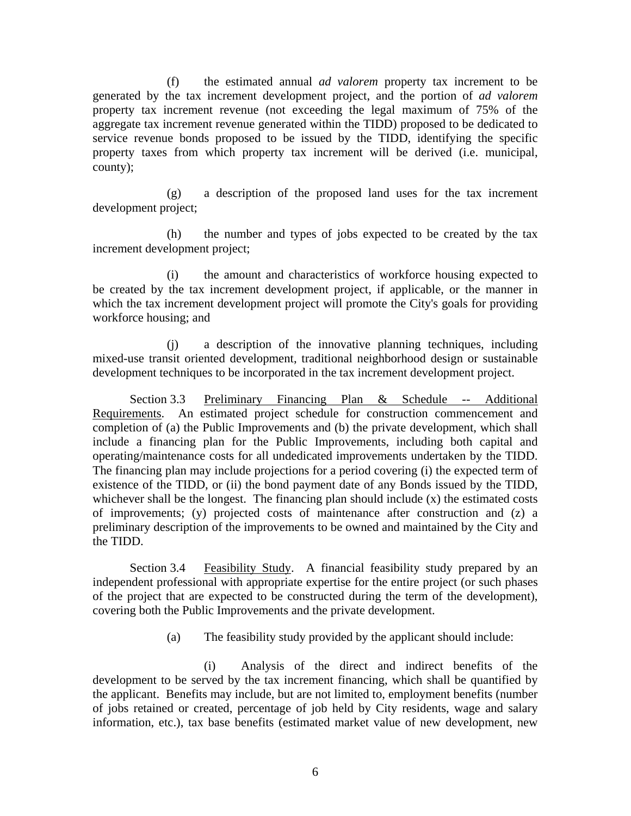(f) the estimated annual *ad valorem* property tax increment to be generated by the tax increment development project, and the portion of *ad valorem*  property tax increment revenue (not exceeding the legal maximum of 75% of the aggregate tax increment revenue generated within the TIDD) proposed to be dedicated to service revenue bonds proposed to be issued by the TIDD, identifying the specific property taxes from which property tax increment will be derived (i.e. municipal, county);

(g) a description of the proposed land uses for the tax increment development project;

(h) the number and types of jobs expected to be created by the tax increment development project;

(i) the amount and characteristics of workforce housing expected to be created by the tax increment development project, if applicable, or the manner in which the tax increment development project will promote the City's goals for providing workforce housing; and

(j) a description of the innovative planning techniques, including mixed-use transit oriented development, traditional neighborhood design or sustainable development techniques to be incorporated in the tax increment development project.

Section 3.3 Preliminary Financing Plan & Schedule -- Additional Requirements. An estimated project schedule for construction commencement and completion of (a) the Public Improvements and (b) the private development, which shall include a financing plan for the Public Improvements, including both capital and operating/maintenance costs for all undedicated improvements undertaken by the TIDD. The financing plan may include projections for a period covering (i) the expected term of existence of the TIDD, or (ii) the bond payment date of any Bonds issued by the TIDD, whichever shall be the longest. The financing plan should include (x) the estimated costs of improvements; (y) projected costs of maintenance after construction and (z) a preliminary description of the improvements to be owned and maintained by the City and the TIDD.

Section 3.4 Feasibility Study. A financial feasibility study prepared by an independent professional with appropriate expertise for the entire project (or such phases of the project that are expected to be constructed during the term of the development), covering both the Public Improvements and the private development.

(a) The feasibility study provided by the applicant should include:

(i) Analysis of the direct and indirect benefits of the development to be served by the tax increment financing, which shall be quantified by the applicant. Benefits may include, but are not limited to, employment benefits (number of jobs retained or created, percentage of job held by City residents, wage and salary information, etc.), tax base benefits (estimated market value of new development, new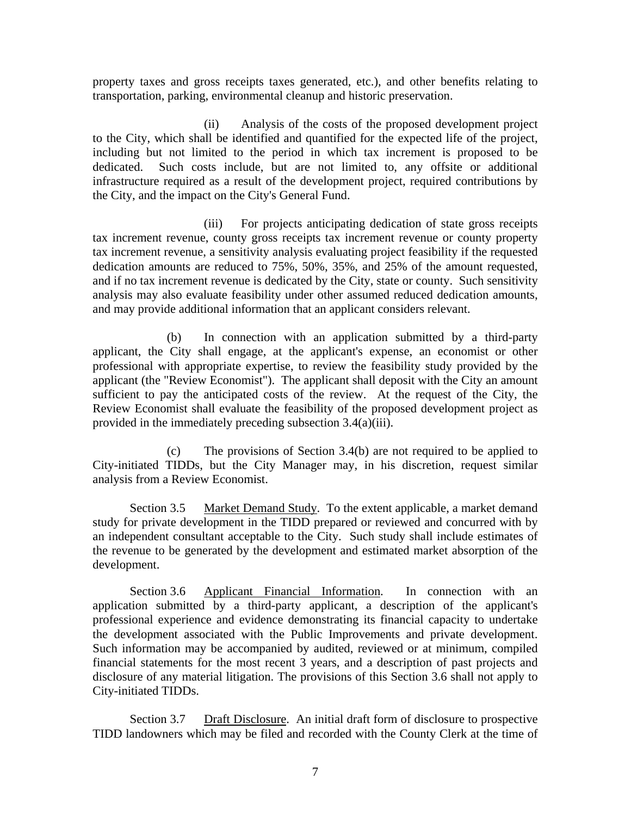property taxes and gross receipts taxes generated, etc.), and other benefits relating to transportation, parking, environmental cleanup and historic preservation.

(ii) Analysis of the costs of the proposed development project to the City, which shall be identified and quantified for the expected life of the project, including but not limited to the period in which tax increment is proposed to be dedicated. Such costs include, but are not limited to, any offsite or additional infrastructure required as a result of the development project, required contributions by the City, and the impact on the City's General Fund.

(iii) For projects anticipating dedication of state gross receipts tax increment revenue, county gross receipts tax increment revenue or county property tax increment revenue, a sensitivity analysis evaluating project feasibility if the requested dedication amounts are reduced to 75%, 50%, 35%, and 25% of the amount requested, and if no tax increment revenue is dedicated by the City, state or county. Such sensitivity analysis may also evaluate feasibility under other assumed reduced dedication amounts, and may provide additional information that an applicant considers relevant.

(b) In connection with an application submitted by a third-party applicant, the City shall engage, at the applicant's expense, an economist or other professional with appropriate expertise, to review the feasibility study provided by the applicant (the "Review Economist"). The applicant shall deposit with the City an amount sufficient to pay the anticipated costs of the review. At the request of the City, the Review Economist shall evaluate the feasibility of the proposed development project as provided in the immediately preceding subsection 3.4(a)(iii).

(c) The provisions of Section 3.4(b) are not required to be applied to City-initiated TIDDs, but the City Manager may, in his discretion, request similar analysis from a Review Economist.

Section 3.5 Market Demand Study. To the extent applicable, a market demand study for private development in the TIDD prepared or reviewed and concurred with by an independent consultant acceptable to the City. Such study shall include estimates of the revenue to be generated by the development and estimated market absorption of the development.

the development associated with the Public Improvements and private development. Section 3.6 Applicant Financial Information. In connection with an application submitted by a third-party applicant, a description of the applicant's professional experience and evidence demonstrating its financial capacity to undertake Such information may be accompanied by audited, reviewed or at minimum, compiled financial statements for the most recent 3 years, and a description of past projects and disclosure of any material litigation. The provisions of this Section 3.6 shall not apply to City-initiated TIDDs.

Section 3.7 Draft Disclosure. An initial draft form of disclosure to prospective TIDD landowners which may be filed and recorded with the County Clerk at the time of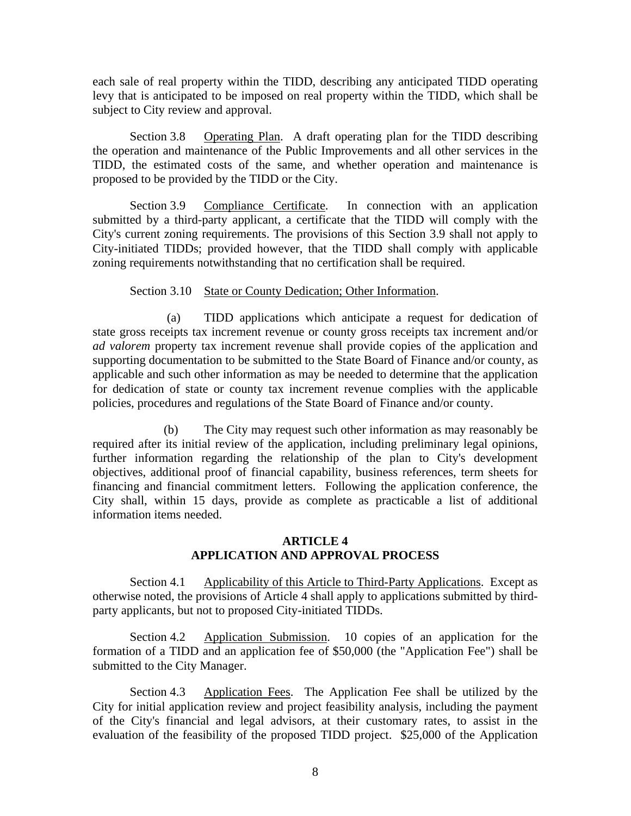each sale of real property within the TIDD, describing any anticipated TIDD operating levy that is anticipated to be imposed on real property within the TIDD, which shall be subject to City review and approval.

Section 3.8 Operating Plan. A draft operating plan for the TIDD describing the operation and maintenance of the Public Improvements and all other services in the TIDD, the estimated costs of the same, and whether operation and maintenance is proposed to be provided by the TIDD or the City.

Section 3.9 Compliance Certificate. In connection with an application submitted by a third-party applicant, a certificate that the TIDD will comply with the City's current zoning requirements. The provisions of this Section 3.9 shall not apply to City-initiated TIDDs; provided however, that the TIDD shall comply with applicable zoning requirements notwithstanding that no certification shall be required.

### Section 3.10 State or County Dedication; Other Information.

(a) TIDD applications which anticipate a request for dedication of state gross receipts tax increment revenue or county gross receipts tax increment and/or *ad valorem* property tax increment revenue shall provide copies of the application and supporting documentation to be submitted to the State Board of Finance and/or county, as applicable and such other information as may be needed to determine that the application for dedication of state or county tax increment revenue complies with the applicable policies, procedures and regulations of the State Board of Finance and/or county.

(b) The City may request such other information as may reasonably be required after its initial review of the application, including preliminary legal opinions, further information regarding the relationship of the plan to City's development objectives, additional proof of financial capability, business references, term sheets for financing and financial commitment letters. Following the application conference, the City shall, within 15 days, provide as complete as practicable a list of additional information items needed.

## **ARTICLE 4 APPLICATION AND APPROVAL PROCESS**

Section 4.1 Applicability of this Article to Third-Party Applications. Except as otherwise noted, the provisions of Article 4 shall apply to applications submitted by thirdparty applicants, but not to proposed City-initiated TIDDs.

Section 4.2 Application Submission. 10 copies of an application for the formation of a TIDD and an application fee of \$50,000 (the "Application Fee") shall be submitted to the City Manager.

Section 4.3 Application Fees. The Application Fee shall be utilized by the City for initial application review and project feasibility analysis, including the payment of the City's financial and legal advisors, at their customary rates, to assist in the evaluation of the feasibility of the proposed TIDD project. \$25,000 of the Application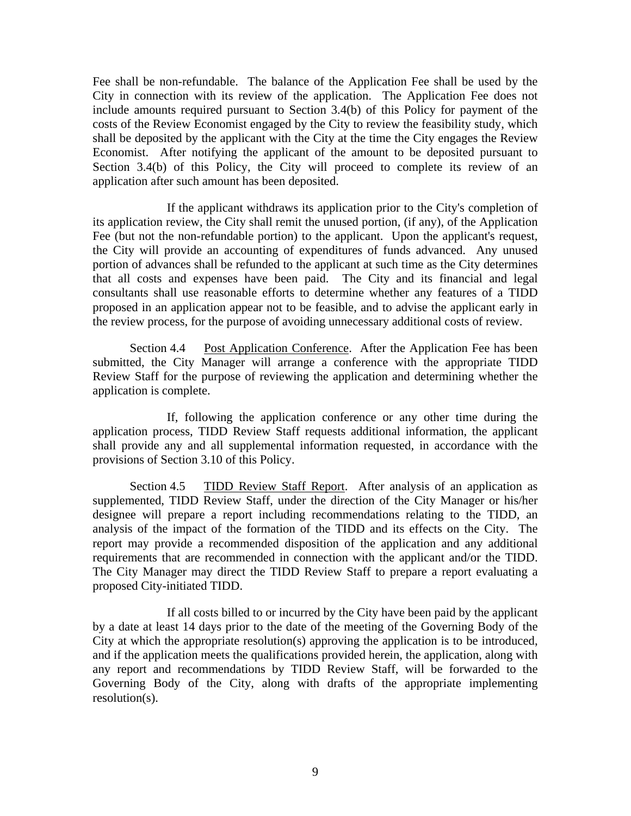Fee shall be non-refundable. The balance of the Application Fee shall be used by the City in connection with its review of the application. The Application Fee does not include amounts required pursuant to Section 3.4(b) of this Policy for payment of the costs of the Review Economist engaged by the City to review the feasibility study, which shall be deposited by the applicant with the City at the time the City engages the Review Economist. After notifying the applicant of the amount to be deposited pursuant to Section 3.4(b) of this Policy, the City will proceed to complete its review of an application after such amount has been deposited.

If the applicant withdraws its application prior to the City's completion of its application review, the City shall remit the unused portion, (if any), of the Application Fee (but not the non-refundable portion) to the applicant. Upon the applicant's request, the City will provide an accounting of expenditures of funds advanced. Any unused portion of advances shall be refunded to the applicant at such time as the City determines that all costs and expenses have been paid. The City and its financial and legal consultants shall use reasonable efforts to determine whether any features of a TIDD proposed in an application appear not to be feasible, and to advise the applicant early in the review process, for the purpose of avoiding unnecessary additional costs of review.

Section 4.4 Post Application Conference. After the Application Fee has been submitted, the City Manager will arrange a conference with the appropriate TIDD Review Staff for the purpose of reviewing the application and determining whether the application is complete.

If, following the application conference or any other time during the application process, TIDD Review Staff requests additional information, the applicant shall provide any and all supplemental information requested, in accordance with the provisions of Section 3.10 of this Policy.

Section 4.5 TIDD Review Staff Report. After analysis of an application as supplemented, TIDD Review Staff, under the direction of the City Manager or his/her designee will prepare a report including recommendations relating to the TIDD, an analysis of the impact of the formation of the TIDD and its effects on the City. The report may provide a recommended disposition of the application and any additional requirements that are recommended in connection with the applicant and/or the TIDD. The City Manager may direct the TIDD Review Staff to prepare a report evaluating a proposed City-initiated TIDD.

If all costs billed to or incurred by the City have been paid by the applicant by a date at least 14 days prior to the date of the meeting of the Governing Body of the City at which the appropriate resolution(s) approving the application is to be introduced, and if the application meets the qualifications provided herein, the application, along with any report and recommendations by TIDD Review Staff, will be forwarded to the Governing Body of the City, along with drafts of the appropriate implementing resolution(s).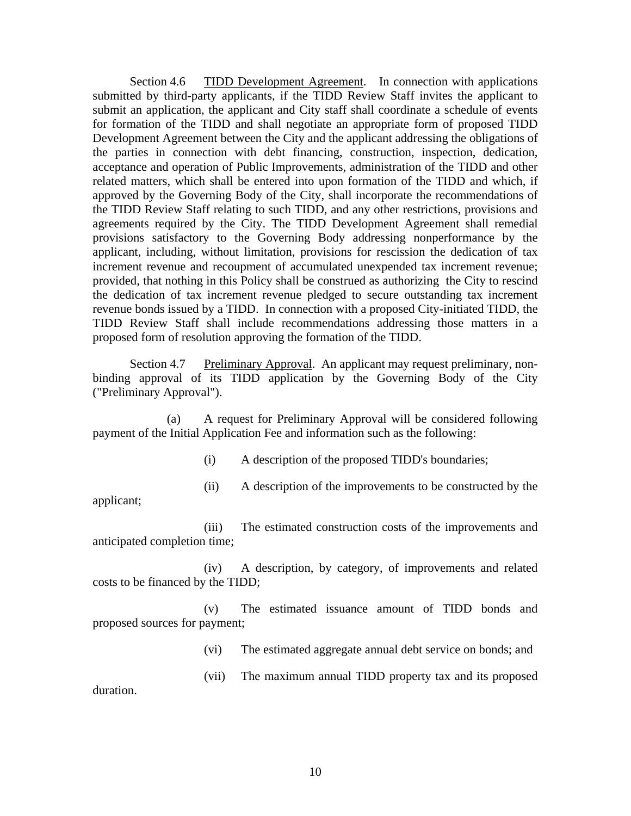Section 4.6 TIDD Development Agreement. In connection with applications submitted by third-party applicants, if the TIDD Review Staff invites the applicant to submit an application, the applicant and City staff shall coordinate a schedule of events for formation of the TIDD and shall negotiate an appropriate form of proposed TIDD Development Agreement between the City and the applicant addressing the obligations of the parties in connection with debt financing, construction, inspection, dedication, acceptance and operation of Public Improvements, administration of the TIDD and other related matters, which shall be entered into upon formation of the TIDD and which, if approved by the Governing Body of the City, shall incorporate the recommendations of the TIDD Review Staff relating to such TIDD, and any other restrictions, provisions and agreements required by the City. The TIDD Development Agreement shall remedial provisions satisfactory to the Governing Body addressing nonperformance by the applicant, including, without limitation, provisions for rescission the dedication of tax increment revenue and recoupment of accumulated unexpended tax increment revenue; provided, that nothing in this Policy shall be construed as authorizing the City to rescind the dedication of tax increment revenue pledged to secure outstanding tax increment revenue bonds issued by a TIDD. In connection with a proposed City-initiated TIDD, the TIDD Review Staff shall include recommendations addressing those matters in a proposed form of resolution approving the formation of the TIDD.

Section 4.7 Preliminary Approval. An applicant may request preliminary, nonbinding approval of its TIDD application by the Governing Body of the City ("Preliminary Approval").

(a) A request for Preliminary Approval will be considered following payment of the Initial Application Fee and information such as the following:

(i) A description of the proposed TIDD's boundaries;

(ii) A description of the improvements to be constructed by the

applicant;

(iii) The estimated construction costs of the improvements and anticipated completion time;

(iv) A description, by category, of improvements and related costs to be financed by the TIDD;

(v) The estimated issuance amount of TIDD bonds and proposed sources for payment;

(vi) The estimated aggregate annual debt service on bonds; and

(vii) The maximum annual TIDD property tax and its proposed

duration.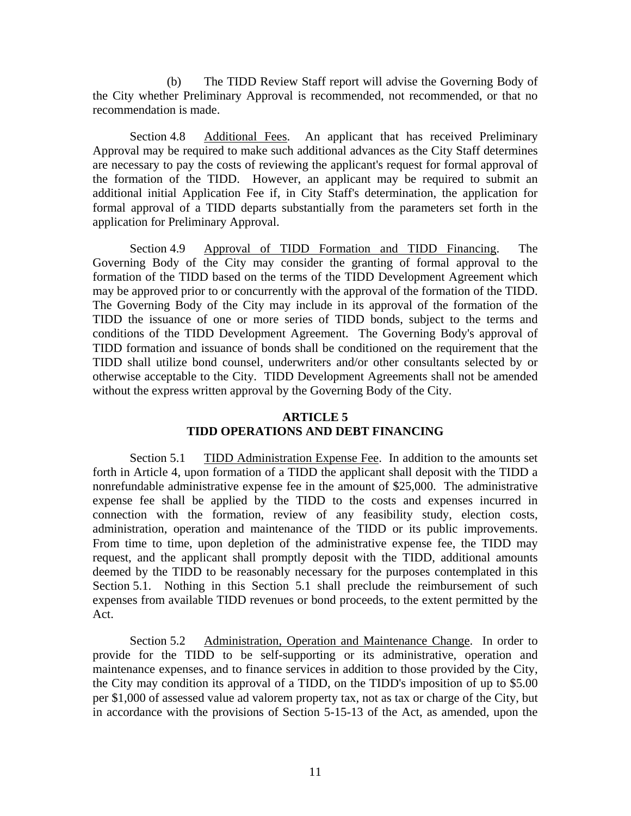(b) The TIDD Review Staff report will advise the Governing Body of the City whether Preliminary Approval is recommended, not recommended, or that no recommendation is made.

Section 4.8 Additional Fees. An applicant that has received Preliminary Approval may be required to make such additional advances as the City Staff determines are necessary to pay the costs of reviewing the applicant's request for formal approval of the formation of the TIDD. However, an applicant may be required to submit an additional initial Application Fee if, in City Staff's determination, the application for formal approval of a TIDD departs substantially from the parameters set forth in the application for Preliminary Approval.

Section 4.9 Approval of TIDD Formation and TIDD Financing. The Governing Body of the City may consider the granting of formal approval to the formation of the TIDD based on the terms of the TIDD Development Agreement which may be approved prior to or concurrently with the approval of the formation of the TIDD. The Governing Body of the City may include in its approval of the formation of the TIDD the issuance of one or more series of TIDD bonds, subject to the terms and conditions of the TIDD Development Agreement. The Governing Body's approval of TIDD formation and issuance of bonds shall be conditioned on the requirement that the TIDD shall utilize bond counsel, underwriters and/or other consultants selected by or otherwise acceptable to the City. TIDD Development Agreements shall not be amended without the express written approval by the Governing Body of the City.

#### **ARTICLE 5**

## **TIDD OPERATIONS AND DEBT FINANCING**

Section 5.1 TIDD Administration Expense Fee. In addition to the amounts set forth in Article 4, upon formation of a TIDD the applicant shall deposit with the TIDD a nonrefundable administrative expense fee in the amount of \$25,000. The administrative expense fee shall be applied by the TIDD to the costs and expenses incurred in connection with the formation, review of any feasibility study, election costs, administration, operation and maintenance of the TIDD or its public improvements. From time to time, upon depletion of the administrative expense fee, the TIDD may request, and the applicant shall promptly deposit with the TIDD, additional amounts deemed by the TIDD to be reasonably necessary for the purposes contemplated in this Section 5.1. Nothing in this Section 5.1 shall preclude the reimbursement of such expenses from available TIDD revenues or bond proceeds, to the extent permitted by the Act.

Section 5.2 Administration, Operation and Maintenance Change. In order to provide for the TIDD to be self-supporting or its administrative, operation and maintenance expenses, and to finance services in addition to those provided by the City, the City may condition its approval of a TIDD, on the TIDD's imposition of up to \$5.00 per \$1,000 of assessed value ad valorem property tax, not as tax or charge of the City, but in accordance with the provisions of Section 5-15-13 of the Act, as amended, upon the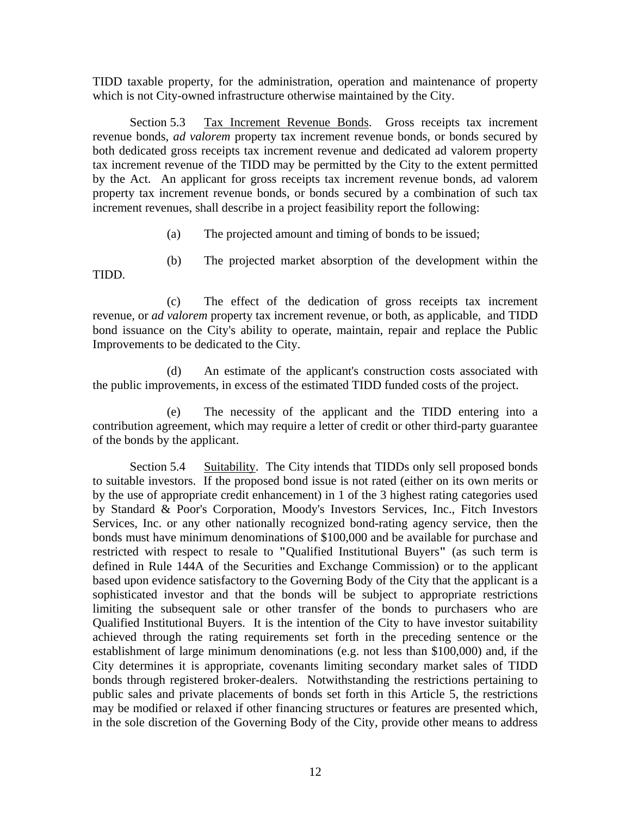TIDD taxable property, for the administration, operation and maintenance of property which is not City-owned infrastructure otherwise maintained by the City.

Section 5.3 Tax Increment Revenue Bonds. Gross receipts tax increment revenue bonds, *ad valorem* property tax increment revenue bonds, or bonds secured by both dedicated gross receipts tax increment revenue and dedicated ad valorem property tax increment revenue of the TIDD may be permitted by the City to the extent permitted by the Act. An applicant for gross receipts tax increment revenue bonds, ad valorem property tax increment revenue bonds, or bonds secured by a combination of such tax increment revenues, shall describe in a project feasibility report the following:

- (a) The projected amount and timing of bonds to be issued;
- TIDD. (b) The projected market absorption of the development within the

(c) The effect of the dedication of gross receipts tax increment revenue, or *ad valorem* property tax increment revenue, or both, as applicable, and TIDD bond issuance on the City's ability to operate, maintain, repair and replace the Public Improvements to be dedicated to the City.

(d) An estimate of the applicant's construction costs associated with the public improvements, in excess of the estimated TIDD funded costs of the project.

(e) The necessity of the applicant and the TIDD entering into a contribution agreement, which may require a letter of credit or other third-party guarantee of the bonds by the applicant.

Section 5.4 Suitability. The City intends that TIDDs only sell proposed bonds to suitable investors. If the proposed bond issue is not rated (either on its own merits or by the use of appropriate credit enhancement) in 1 of the 3 highest rating categories used by Standard & Poor's Corporation, Moody's Investors Services, Inc., Fitch Investors Services, Inc. or any other nationally recognized bond-rating agency service, then the bonds must have minimum denominations of \$100,000 and be available for purchase and restricted with respect to resale to **"**Qualified Institutional Buyers**"** (as such term is defined in Rule 144A of the Securities and Exchange Commission) or to the applicant based upon evidence satisfactory to the Governing Body of the City that the applicant is a sophisticated investor and that the bonds will be subject to appropriate restrictions limiting the subsequent sale or other transfer of the bonds to purchasers who are Qualified Institutional Buyers. It is the intention of the City to have investor suitability achieved through the rating requirements set forth in the preceding sentence or the establishment of large minimum denominations (e.g. not less than \$100,000) and, if the City determines it is appropriate, covenants limiting secondary market sales of TIDD bonds through registered broker-dealers. Notwithstanding the restrictions pertaining to public sales and private placements of bonds set forth in this Article 5, the restrictions may be modified or relaxed if other financing structures or features are presented which, in the sole discretion of the Governing Body of the City, provide other means to address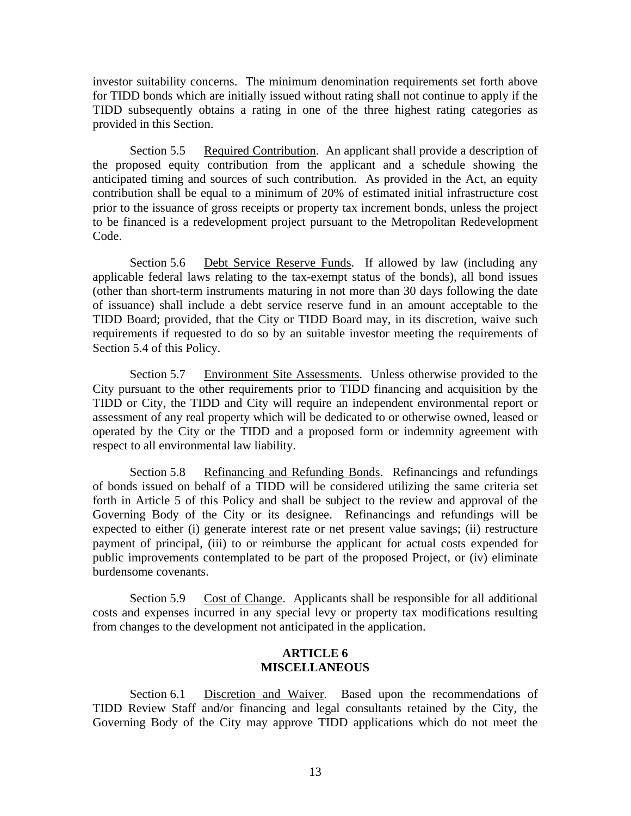investor suitability concerns. The minimum denomination requirements set forth above for TIDD bonds which are initially issued without rating shall not continue to apply if the TIDD subsequently obtains a rating in one of the three highest rating categories as provided in this Section.

Section 5.5 Required Contribution. An applicant shall provide a description of the proposed equity contribution from the applicant and a schedule showing the anticipated timing and sources of such contribution. As provided in the Act, an equity contribution shall be equal to a minimum of 20% of estimated initial infrastructure cost prior to the issuance of gross receipts or property tax increment bonds, unless the project to be financed is a redevelopment project pursuant to the Metropolitan Redevelopment Code.

Section 5.6 Debt Service Reserve Funds. If allowed by law (including any applicable federal laws relating to the tax-exempt status of the bonds), all bond issues (other than short-term instruments maturing in not more than 30 days following the date of issuance) shall include a debt service reserve fund in an amount acceptable to the TIDD Board; provided, that the City or TIDD Board may, in its discretion, waive such requirements if requested to do so by an suitable investor meeting the requirements of Section 5.4 of this Policy.

Section 5.7 Environment Site Assessments. Unless otherwise provided to the City pursuant to the other requirements prior to TIDD financing and acquisition by the TIDD or City, the TIDD and City will require an independent environmental report or assessment of any real property which will be dedicated to or otherwise owned, leased or operated by the City or the TIDD and a proposed form or indemnity agreement with respect to all environmental law liability.

Section 5.8 Refinancing and Refunding Bonds. Refinancings and refundings of bonds issued on behalf of a TIDD will be considered utilizing the same criteria set forth in Article 5 of this Policy and shall be subject to the review and approval of the Governing Body of the City or its designee. Refinancings and refundings will be expected to either (i) generate interest rate or net present value savings; (ii) restructure payment of principal, (iii) to or reimburse the applicant for actual costs expended for public improvements contemplated to be part of the proposed Project, or (iv) eliminate burdensome covenants.

Section 5.9 Cost of Change. Applicants shall be responsible for all additional costs and expenses incurred in any special levy or property tax modifications resulting from changes to the development not anticipated in the application.

### **ARTICLE 6 MISCELLANEOUS**

Section 6.1 Discretion and Waiver. Based upon the recommendations of TIDD Review Staff and/or financing and legal consultants retained by the City, the Governing Body of the City may approve TIDD applications which do not meet the